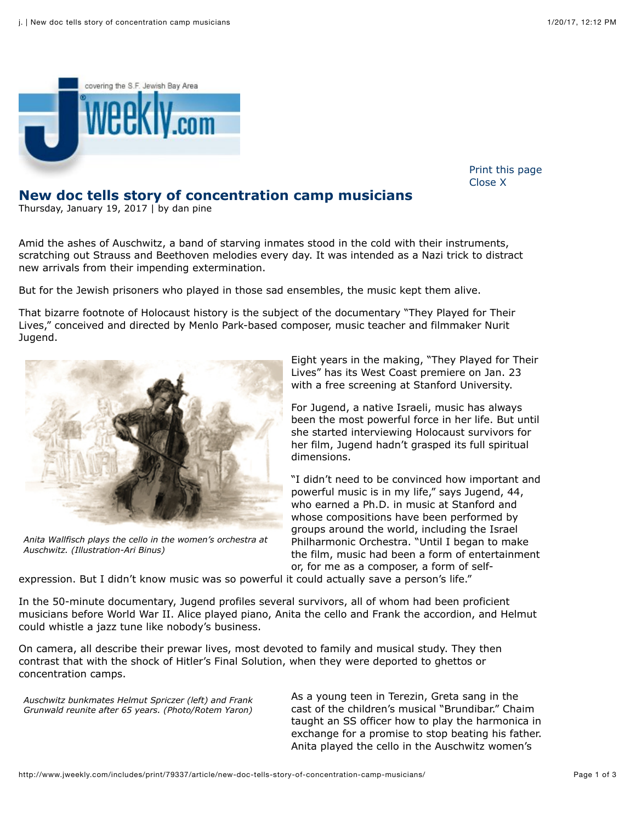

[Print this page](javascript:void(0);) [Close X](javascript:void(0);)

## **New doc tells story of concentration camp musicians**

Thursday, January 19, 2017 | by dan pine

Amid the ashes of Auschwitz, a band of starving inmates stood in the cold with their instruments, scratching out Strauss and Beethoven melodies every day. It was intended as a Nazi trick to distract new arrivals from their impending extermination.

But for the Jewish prisoners who played in those sad ensembles, the music kept them alive.

That bizarre footnote of Holocaust history is the subject of the documentary "They Played for Their Lives," conceived and directed by Menlo Park-based composer, music teacher and filmmaker Nurit Jugend.



*Anita Wallfisch plays the cello in the women's orchestra at Auschwitz. (Illustration-Ari Binus)*

Eight years in the making, "They Played for Their Lives" has its West Coast premiere on Jan. 23 with a free screening at Stanford University.

For Jugend, a native Israeli, music has always been the most powerful force in her life. But until she started interviewing Holocaust survivors for her film, Jugend hadn't grasped its full spiritual dimensions.

"I didn't need to be convinced how important and powerful music is in my life," says Jugend, 44, who earned a Ph.D. in music at Stanford and whose compositions have been performed by groups around the world, including the Israel Philharmonic Orchestra. "Until I began to make the film, music had been a form of entertainment or, for me as a composer, a form of self-

expression. But I didn't know music was so powerful it could actually save a person's life."

In the 50-minute documentary, Jugend profiles several survivors, all of whom had been proficient musicians before World War II. Alice played piano, Anita the cello and Frank the accordion, and Helmut could whistle a jazz tune like nobody's business.

On camera, all describe their prewar lives, most devoted to family and musical study. They then contrast that with the shock of Hitler's Final Solution, when they were deported to ghettos or concentration camps.

*Auschwitz bunkmates Helmut Spriczer (left) and Frank Grunwald reunite after 65 years. (Photo/Rotem Yaron)*

As a young teen in Terezin, Greta sang in the cast of the children's musical "Brundibar." Chaim taught an SS officer how to play the harmonica in exchange for a promise to stop beating his father. Anita played the cello in the Auschwitz women's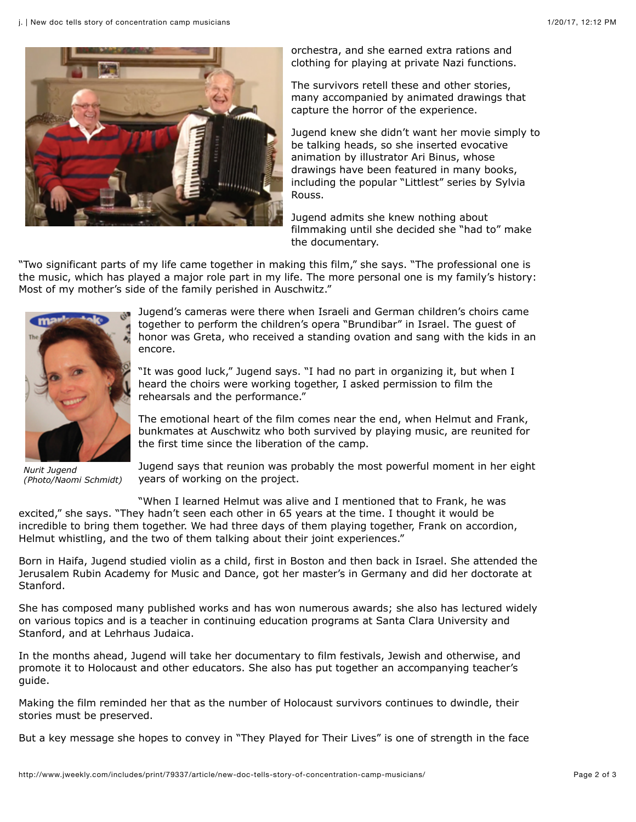

orchestra, and she earned extra rations and clothing for playing at private Nazi functions.

The survivors retell these and other stories, many accompanied by animated drawings that capture the horror of the experience.

Jugend knew she didn't want her movie simply to be talking heads, so she inserted evocative animation by illustrator Ari Binus, whose drawings have been featured in many books, including the popular "Littlest" series by Sylvia Rouss.

Jugend admits she knew nothing about filmmaking until she decided she "had to" make the documentary.

"Two significant parts of my life came together in making this film," she says. "The professional one is the music, which has played a major role part in my life. The more personal one is my family's history: Most of my mother's side of the family perished in Auschwitz."



Jugend's cameras were there when Israeli and German children's choirs came together to perform the children's opera "Brundibar" in Israel. The guest of honor was Greta, who received a standing ovation and sang with the kids in an encore.

"It was good luck," Jugend says. "I had no part in organizing it, but when I heard the choirs were working together, I asked permission to film the rehearsals and the performance."

The emotional heart of the film comes near the end, when Helmut and Frank, bunkmates at Auschwitz who both survived by playing music, are reunited for the first time since the liberation of the camp.

*Nurit Jugend (Photo/Naomi Schmidt)*

Jugend says that reunion was probably the most powerful moment in her eight years of working on the project.

"When I learned Helmut was alive and I mentioned that to Frank, he was excited," she says. "They hadn't seen each other in 65 years at the time. I thought it would be incredible to bring them together. We had three days of them playing together, Frank on accordion, Helmut whistling, and the two of them talking about their joint experiences."

Born in Haifa, Jugend studied violin as a child, first in Boston and then back in Israel. She attended the Jerusalem Rubin Academy for Music and Dance, got her master's in Germany and did her doctorate at Stanford.

She has composed many published works and has won numerous awards; she also has lectured widely on various topics and is a teacher in continuing education programs at Santa Clara University and Stanford, and at Lehrhaus Judaica.

In the months ahead, Jugend will take her documentary to film festivals, Jewish and otherwise, and promote it to Holocaust and other educators. She also has put together an accompanying teacher's guide.

Making the film reminded her that as the number of Holocaust survivors continues to dwindle, their stories must be preserved.

But a key message she hopes to convey in "They Played for Their Lives" is one of strength in the face